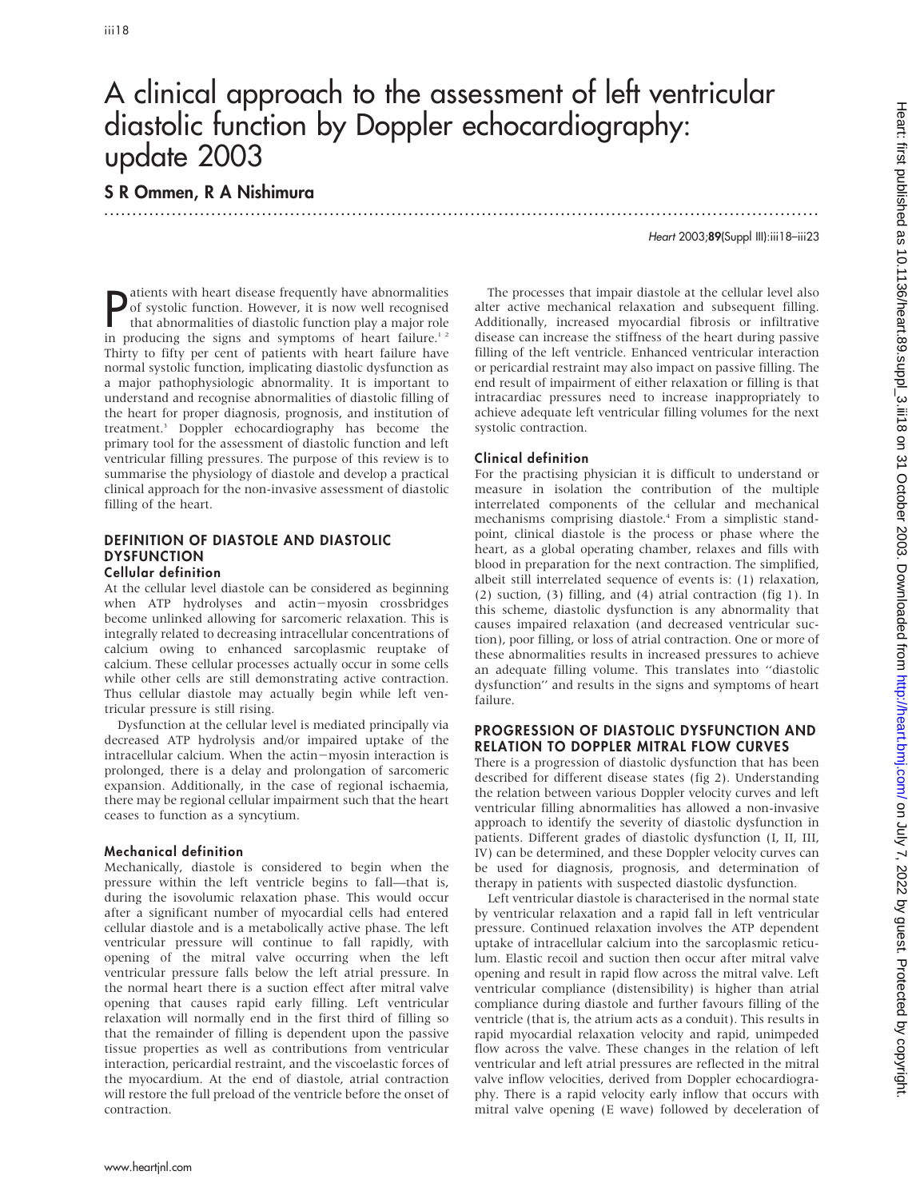Heart: first published as 10.1136/heart.89.suppl\_3.iii18 on 31 October 2003. Downloaded from http://heart.bmj.com/ on July 7, 2022 by guest. Protected by copyright Heart: first published as 10.1136/heart.89.suppl\_3.iii18 on 31 October 2003. Downloaded from http://heart.bm/ Meart.bm/ 1, 2022 by guest. Protected by copyright.

# A clinical approach to the assessment of left ventricular diastolic function by Doppler echocardiography: update 2003

.............................................................................................................................. .

# S R Ommen, R A Nishimura

Heart 2003;89(Suppl III):iii18–iii23

**P** attents with neart disease frequently have abnormalities<br>of systolic function. However, it is now well recognised<br>in producing the signs of disability and producing the signs of containing  $\frac{12}{3}$ atients with heart disease frequently have abnormalities that abnormalities of diastolic function play a major role in producing the signs and symptoms of heart failure.<sup>12</sup> Thirty to fifty per cent of patients with heart failure have normal systolic function, implicating diastolic dysfunction as a major pathophysiologic abnormality. It is important to understand and recognise abnormalities of diastolic filling of the heart for proper diagnosis, prognosis, and institution of treatment.3 Doppler echocardiography has become the primary tool for the assessment of diastolic function and left ventricular filling pressures. The purpose of this review is to summarise the physiology of diastole and develop a practical clinical approach for the non-invasive assessment of diastolic filling of the heart.

# DEFINITION OF DIASTOLE AND DIASTOLIC **DYSFUNCTION**

# Cellular definition

At the cellular level diastole can be considered as beginning when ATP hydrolyses and actin-myosin crossbridges become unlinked allowing for sarcomeric relaxation. This is integrally related to decreasing intracellular concentrations of calcium owing to enhanced sarcoplasmic reuptake of calcium. These cellular processes actually occur in some cells while other cells are still demonstrating active contraction. Thus cellular diastole may actually begin while left ventricular pressure is still rising.

Dysfunction at the cellular level is mediated principally via decreased ATP hydrolysis and/or impaired uptake of the intracellular calcium. When the actin-myosin interaction is prolonged, there is a delay and prolongation of sarcomeric expansion. Additionally, in the case of regional ischaemia, there may be regional cellular impairment such that the heart ceases to function as a syncytium.

### Mechanical definition

Mechanically, diastole is considered to begin when the pressure within the left ventricle begins to fall—that is, during the isovolumic relaxation phase. This would occur after a significant number of myocardial cells had entered cellular diastole and is a metabolically active phase. The left ventricular pressure will continue to fall rapidly, with opening of the mitral valve occurring when the left ventricular pressure falls below the left atrial pressure. In the normal heart there is a suction effect after mitral valve opening that causes rapid early filling. Left ventricular relaxation will normally end in the first third of filling so that the remainder of filling is dependent upon the passive tissue properties as well as contributions from ventricular interaction, pericardial restraint, and the viscoelastic forces of the myocardium. At the end of diastole, atrial contraction will restore the full preload of the ventricle before the onset of contraction.

The processes that impair diastole at the cellular level also alter active mechanical relaxation and subsequent filling. Additionally, increased myocardial fibrosis or infiltrative disease can increase the stiffness of the heart during passive filling of the left ventricle. Enhanced ventricular interaction or pericardial restraint may also impact on passive filling. The end result of impairment of either relaxation or filling is that intracardiac pressures need to increase inappropriately to achieve adequate left ventricular filling volumes for the next systolic contraction.

### Clinical definition

For the practising physician it is difficult to understand or measure in isolation the contribution of the multiple interrelated components of the cellular and mechanical mechanisms comprising diastole.4 From a simplistic standpoint, clinical diastole is the process or phase where the heart, as a global operating chamber, relaxes and fills with blood in preparation for the next contraction. The simplified, albeit still interrelated sequence of events is: (1) relaxation, (2) suction, (3) filling, and (4) atrial contraction (fig 1). In this scheme, diastolic dysfunction is any abnormality that causes impaired relaxation (and decreased ventricular suction), poor filling, or loss of atrial contraction. One or more of these abnormalities results in increased pressures to achieve an adequate filling volume. This translates into ''diastolic dysfunction'' and results in the signs and symptoms of heart failure.

### PROGRESSION OF DIASTOLIC DYSFUNCTION AND RELATION TO DOPPLER MITRAL FLOW CURVES

There is a progression of diastolic dysfunction that has been described for different disease states (fig 2). Understanding the relation between various Doppler velocity curves and left ventricular filling abnormalities has allowed a non-invasive approach to identify the severity of diastolic dysfunction in patients. Different grades of diastolic dysfunction (I, II, III, IV) can be determined, and these Doppler velocity curves can be used for diagnosis, prognosis, and determination of therapy in patients with suspected diastolic dysfunction.

Left ventricular diastole is characterised in the normal state by ventricular relaxation and a rapid fall in left ventricular pressure. Continued relaxation involves the ATP dependent uptake of intracellular calcium into the sarcoplasmic reticulum. Elastic recoil and suction then occur after mitral valve opening and result in rapid flow across the mitral valve. Left ventricular compliance (distensibility) is higher than atrial compliance during diastole and further favours filling of the ventricle (that is, the atrium acts as a conduit). This results in rapid myocardial relaxation velocity and rapid, unimpeded flow across the valve. These changes in the relation of left ventricular and left atrial pressures are reflected in the mitral valve inflow velocities, derived from Doppler echocardiography. There is a rapid velocity early inflow that occurs with mitral valve opening (E wave) followed by deceleration of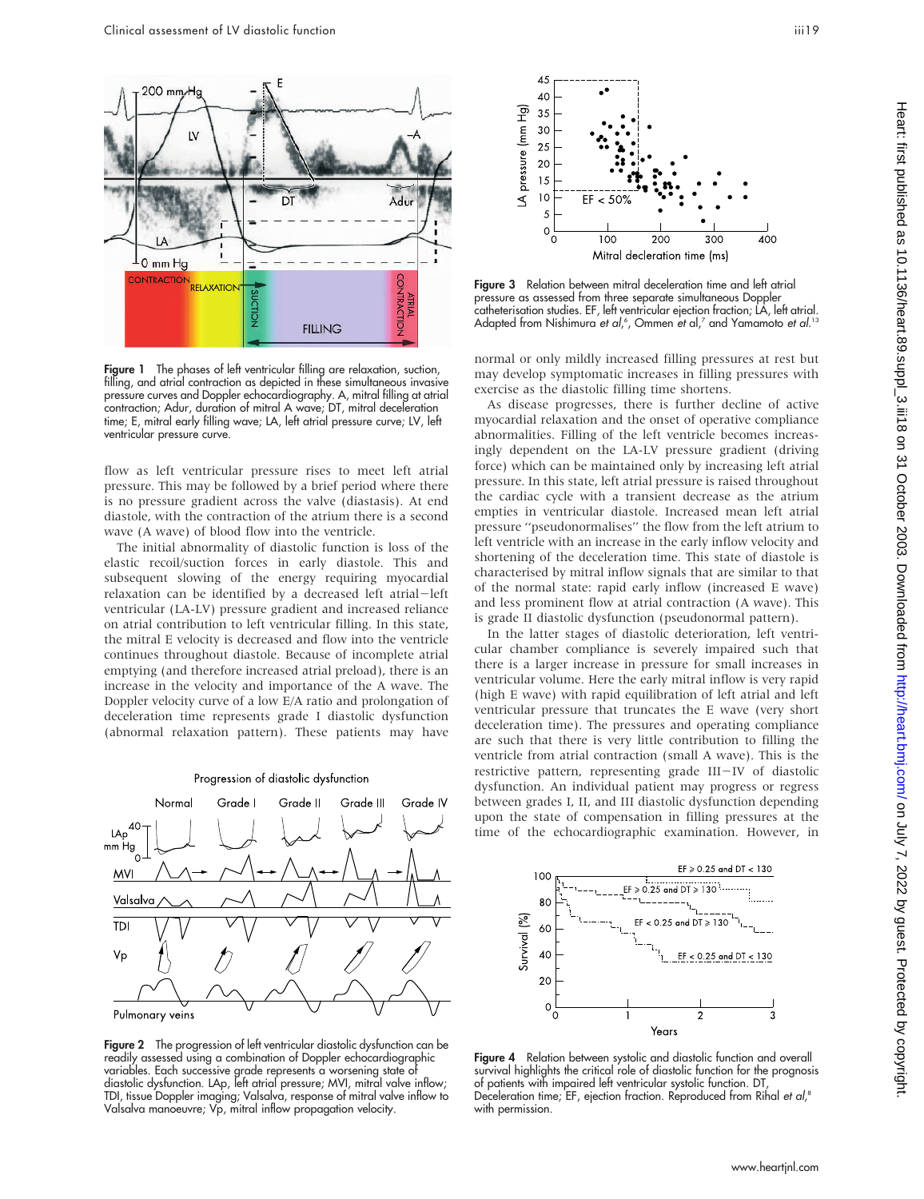

Figure 1 The phases of left ventricular filling are relaxation, suction, filling, and atrial contraction as depicted in these simultaneous invasive pressure curves and Doppler echocardiography. A, mitral filling at atrial contraction; Adur, duration of mitral A wave; DT, mitral deceleration time; E, mitral early filling wave; LA, left atrial pressure curve; LV, left ventricular pressure curve.

flow as left ventricular pressure rises to meet left atrial pressure. This may be followed by a brief period where there is no pressure gradient across the valve (diastasis). At end diastole, with the contraction of the atrium there is a second wave (A wave) of blood flow into the ventricle.

The initial abnormality of diastolic function is loss of the elastic recoil/suction forces in early diastole. This and subsequent slowing of the energy requiring myocardial relaxation can be identified by a decreased left atrial-left ventricular (LA-LV) pressure gradient and increased reliance on atrial contribution to left ventricular filling. In this state, the mitral E velocity is decreased and flow into the ventricle continues throughout diastole. Because of incomplete atrial emptying (and therefore increased atrial preload), there is an increase in the velocity and importance of the A wave. The Doppler velocity curve of a low E/A ratio and prolongation of deceleration time represents grade I diastolic dysfunction (abnormal relaxation pattern). These patients may have

#### Progression of diastolic dysfunction



Figure 2 The progression of left ventricular diastolic dysfunction can be readily assessed using a combination of Doppler echocardiographic variables. Each successive grade represents a worsening state of diastolic dysfunction. LAp, left atrial pressure; MVI, mitral valve inflow; TDI, tissue Doppler imaging; Valsalva, response of mitral valve inflow to Valsalva manoeuvre; Vp, mitral inflow propagation velocity.



Figure 3 Relation between mitral deceleration time and left atrial pressure as assessed from three separate simultaneous Doppler catheterisation studies. EF, left ventricular ejection fraction; LA, left atrial. Adapted from Nishimura *et al*,<sup>6</sup>, Ommen *et* al,<sup>7</sup> and Yamamoto *et al*.<sup>13</sup>

normal or only mildly increased filling pressures at rest but may develop symptomatic increases in filling pressures with exercise as the diastolic filling time shortens.

As disease progresses, there is further decline of active myocardial relaxation and the onset of operative compliance abnormalities. Filling of the left ventricle becomes increasingly dependent on the LA-LV pressure gradient (driving force) which can be maintained only by increasing left atrial pressure. In this state, left atrial pressure is raised throughout the cardiac cycle with a transient decrease as the atrium empties in ventricular diastole. Increased mean left atrial pressure ''pseudonormalises'' the flow from the left atrium to left ventricle with an increase in the early inflow velocity and shortening of the deceleration time. This state of diastole is characterised by mitral inflow signals that are similar to that of the normal state: rapid early inflow (increased E wave) and less prominent flow at atrial contraction (A wave). This is grade II diastolic dysfunction (pseudonormal pattern).

In the latter stages of diastolic deterioration, left ventricular chamber compliance is severely impaired such that there is a larger increase in pressure for small increases in ventricular volume. Here the early mitral inflow is very rapid (high E wave) with rapid equilibration of left atrial and left ventricular pressure that truncates the E wave (very short deceleration time). The pressures and operating compliance are such that there is very little contribution to filling the ventricle from atrial contraction (small A wave). This is the restrictive pattern, representing grade  $III-V$  of diastolic dysfunction. An individual patient may progress or regress between grades I, II, and III diastolic dysfunction depending upon the state of compensation in filling pressures at the time of the echocardiographic examination. However, in



Figure 4 Relation between systolic and diastolic function and overall survival highlights the critical role of diastolic function for the prognosis of patients with impaired left ventricular systolic function. DT, Deceleration time; EF, ejection fraction. Reproduced from Rihal et  $al$ , with permission.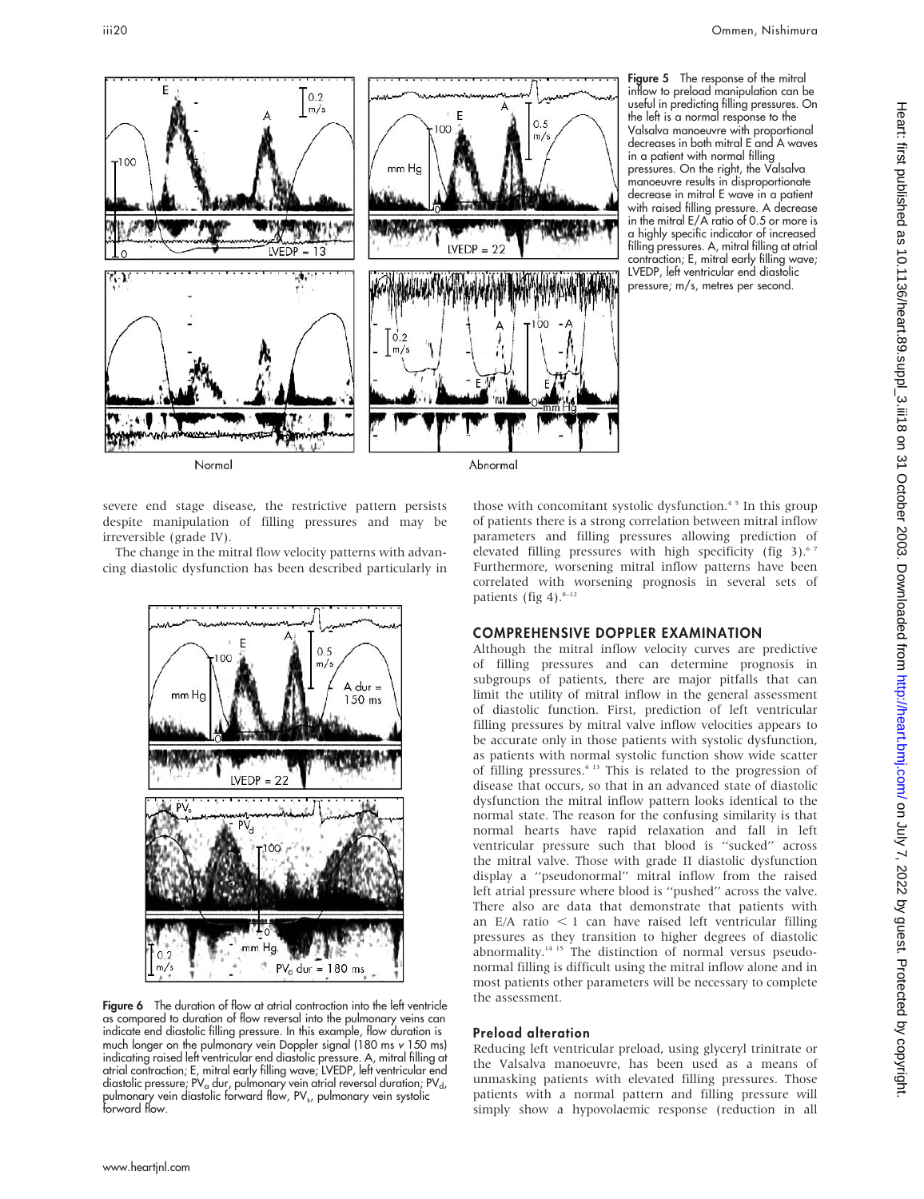

Figure 5 The response of the mitral inflow to preload manipulation can be useful in predicting filling pressures. On the left is a normal response to the Valsalva manoeuvre with proportional decreases in both mitral E and A waves in a patient with normal filling pressures. On the right, the Valsalva manoeuvre results in disproportionate decrease in mitral E wave in a patient with raised filling pressure. A decrease in the mitral E/A ratio of 0.5 or more is a highly specific indicator of increased filling pressures. A, mitral filling at atrial contraction; E, mitral early filling wave; LVEDP, left ventricular end diastolic pressure; m/s, metres per second.

severe end stage disease, the restrictive pattern persists despite manipulation of filling pressures and may be irreversible (grade IV).

The change in the mitral flow velocity patterns with advancing diastolic dysfunction has been described particularly in



Figure 6 The duration of flow at atrial contraction into the left ventricle as compared to duration of flow reversal into the pulmonary veins can indicate end diastolic filling pressure. In this example, flow duration is much longer on the pulmonary vein Doppler signal (180 ms  $v$  150 ms) indicating raised left ventricular end diastolic pressure. A, mitral filling at atrial contraction; E, mitral early filling wave; LVEDP, left ventricular end diastolic pressure; PV $_{\circ}$  dur, pulmonary vein atrial reversal duration; PV $_{\rm d}$ , pulmonary vein diastolic forward flow, PV<sub>s</sub>, pulmonary vein systolic<br>forward flow.

those with concomitant systolic dysfunction.<sup>45</sup> In this group of patients there is a strong correlation between mitral inflow parameters and filling pressures allowing prediction of elevated filling pressures with high specificity (fig  $3$ ).<sup>67</sup> Furthermore, worsening mitral inflow patterns have been correlated with worsening prognosis in several sets of patients (fig 4). $8-12$ 

### COMPREHENSIVE DOPPLER EXAMINATION

Although the mitral inflow velocity curves are predictive of filling pressures and can determine prognosis in subgroups of patients, there are major pitfalls that can limit the utility of mitral inflow in the general assessment of diastolic function. First, prediction of left ventricular filling pressures by mitral valve inflow velocities appears to be accurate only in those patients with systolic dysfunction, as patients with normal systolic function show wide scatter of filling pressures.4 13 This is related to the progression of disease that occurs, so that in an advanced state of diastolic dysfunction the mitral inflow pattern looks identical to the normal state. The reason for the confusing similarity is that normal hearts have rapid relaxation and fall in left ventricular pressure such that blood is ''sucked'' across the mitral valve. Those with grade II diastolic dysfunction display a ''pseudonormal'' mitral inflow from the raised left atrial pressure where blood is ''pushed'' across the valve. There also are data that demonstrate that patients with an E/A ratio  $\leq 1$  can have raised left ventricular filling pressures as they transition to higher degrees of diastolic abnormality.14 15 The distinction of normal versus pseudonormal filling is difficult using the mitral inflow alone and in most patients other parameters will be necessary to complete the assessment.

# Preload alteration

Reducing left ventricular preload, using glyceryl trinitrate or the Valsalva manoeuvre, has been used as a means of unmasking patients with elevated filling pressures. Those patients with a normal pattern and filling pressure will simply show a hypovolaemic response (reduction in all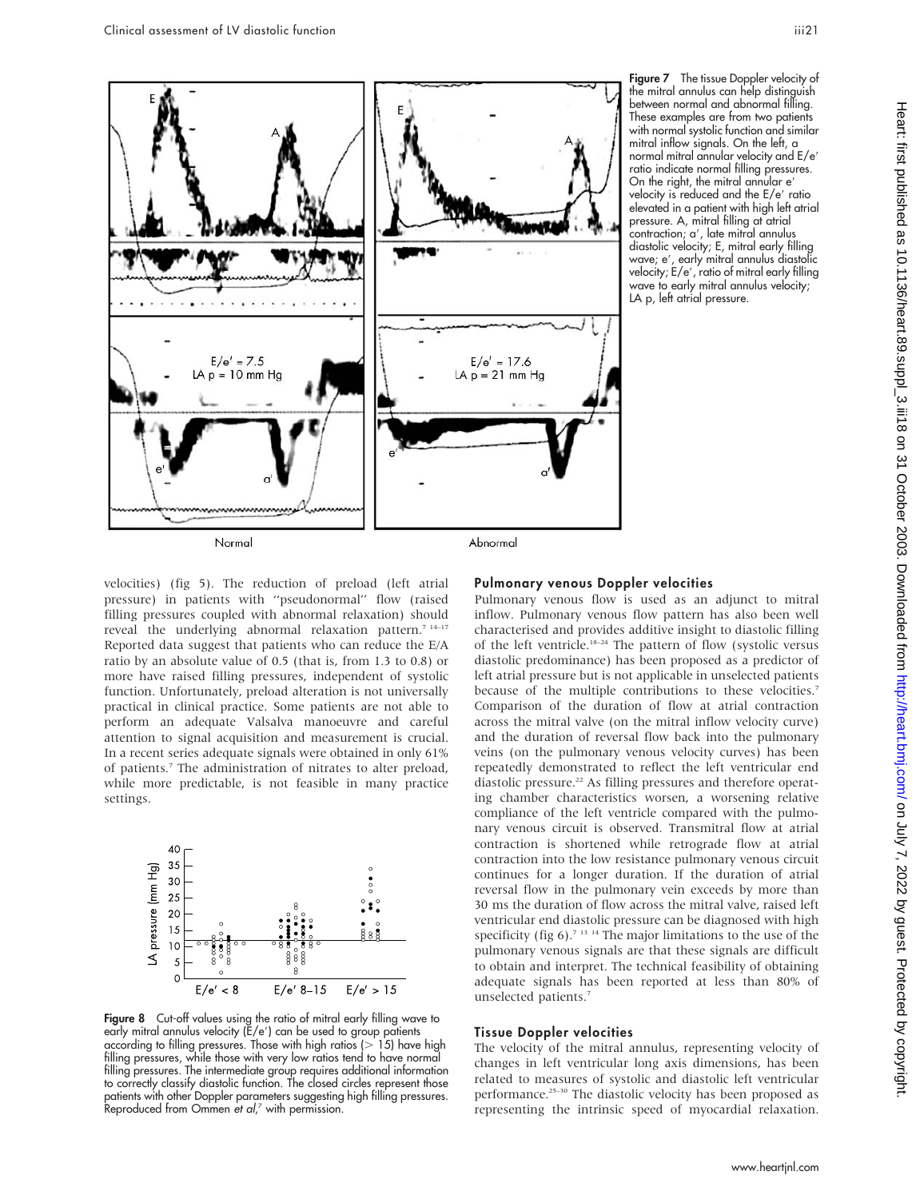

**Figure 7** The tissue Doppler velocity of the mitral annulus can help distinguish between normal and abnormal filling. These examples are from two patients with normal systolic function and similar mitral inflow signals. On the left, a normal mitral annular velocity and E/e9 ratio indicate normal filling pressures. On the right, the mitral annular e' velocity is reduced and the E/e' ratio elevated in a patient with high left atrial pressure. A, mitral filling at atrial contraction; a', late mitral annulus diastolic velocity; E, mitral early filling wave; e', early mitral annulus diastolic velocity; E/e', ratio of mitral early filling wave to early mitral annulus velocity; LA p, left atrial pressure.

velocities) (fig 5). The reduction of preload (left atrial pressure) in patients with ''pseudonormal'' flow (raised filling pressures coupled with abnormal relaxation) should reveal the underlying abnormal relaxation pattern.<sup>7 14-17</sup> Reported data suggest that patients who can reduce the E/A ratio by an absolute value of 0.5 (that is, from 1.3 to 0.8) or more have raised filling pressures, independent of systolic function. Unfortunately, preload alteration is not universally practical in clinical practice. Some patients are not able to perform an adequate Valsalva manoeuvre and careful attention to signal acquisition and measurement is crucial. In a recent series adequate signals were obtained in only 61% of patients.7 The administration of nitrates to alter preload, while more predictable, is not feasible in many practice settings.



Figure 8 Cut-off values using the ratio of mitral early filling wave to early mitral annulus velocity  $(E/e')$  can be used to group patients according to filling pressures. Those with high ratios ( $> 15$ ) have high filling pressures, while those with very low ratios tend to have normal filling pressures. The intermediate group requires additional information to correctly classify diastolic function. The closed circles represent those patients with other Doppler parameters suggesting high filling pressures. Reproduced from Ommen et al, <sup>7</sup> with permission.

#### Abnormal

#### Pulmonary venous Doppler velocities

Pulmonary venous flow is used as an adjunct to mitral inflow. Pulmonary venous flow pattern has also been well characterised and provides additive insight to diastolic filling of the left ventricle.<sup>18–24</sup> The pattern of flow (systolic versus diastolic predominance) has been proposed as a predictor of left atrial pressure but is not applicable in unselected patients because of the multiple contributions to these velocities.<sup>7</sup> Comparison of the duration of flow at atrial contraction across the mitral valve (on the mitral inflow velocity curve) and the duration of reversal flow back into the pulmonary veins (on the pulmonary venous velocity curves) has been repeatedly demonstrated to reflect the left ventricular end diastolic pressure.<sup>22</sup> As filling pressures and therefore operating chamber characteristics worsen, a worsening relative compliance of the left ventricle compared with the pulmonary venous circuit is observed. Transmitral flow at atrial contraction is shortened while retrograde flow at atrial contraction into the low resistance pulmonary venous circuit continues for a longer duration. If the duration of atrial reversal flow in the pulmonary vein exceeds by more than 30 ms the duration of flow across the mitral valve, raised left ventricular end diastolic pressure can be diagnosed with high specificity (fig  $6$ ).<sup>7</sup> <sup>13</sup> <sup>14</sup> The major limitations to the use of the pulmonary venous signals are that these signals are difficult to obtain and interpret. The technical feasibility of obtaining adequate signals has been reported at less than 80% of unselected patients.7

#### Tissue Doppler velocities

The velocity of the mitral annulus, representing velocity of changes in left ventricular long axis dimensions, has been related to measures of systolic and diastolic left ventricular performance.<sup>25-30</sup> The diastolic velocity has been proposed as representing the intrinsic speed of myocardial relaxation.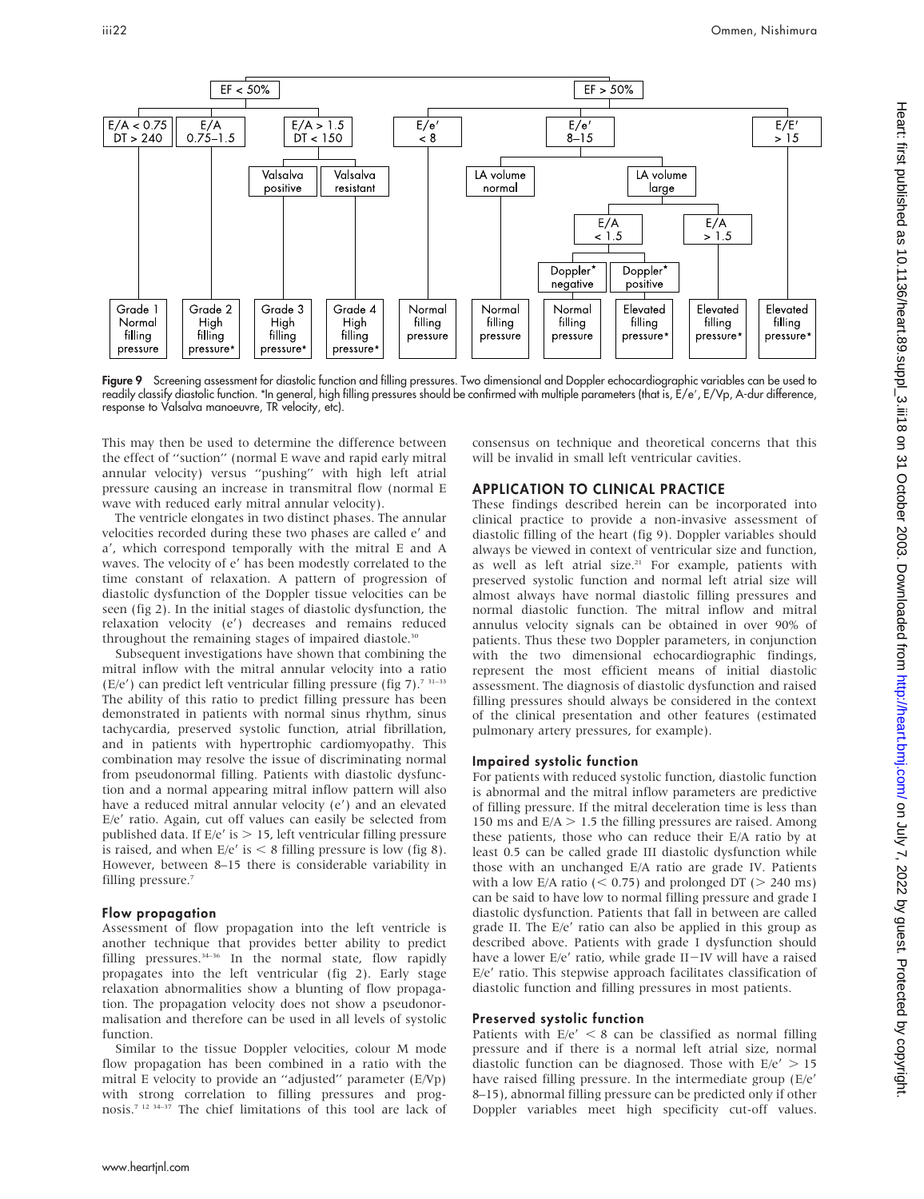

Figure 9 Screening assessment for diastolic function and filling pressures. Two dimensional and Doppler echocardiographic variables can be used to readily classify diastolic function. \*In general, high filling pressures should be confirmed with multiple parameters (that is, E/e', E/Vp, A-dur difference, response to Valsalva manoeuvre, TR velocity, etc).

This may then be used to determine the difference between the effect of ''suction'' (normal E wave and rapid early mitral annular velocity) versus ''pushing'' with high left atrial pressure causing an increase in transmitral flow (normal E wave with reduced early mitral annular velocity).

The ventricle elongates in two distinct phases. The annular velocities recorded during these two phases are called e' and a', which correspond temporally with the mitral E and A waves. The velocity of e' has been modestly correlated to the time constant of relaxation. A pattern of progression of diastolic dysfunction of the Doppler tissue velocities can be seen (fig 2). In the initial stages of diastolic dysfunction, the relaxation velocity (e') decreases and remains reduced throughout the remaining stages of impaired diastole.<sup>30</sup>

Subsequent investigations have shown that combining the mitral inflow with the mitral annular velocity into a ratio (E/e') can predict left ventricular filling pressure (fig 7).<sup>7 31–33</sup> The ability of this ratio to predict filling pressure has been demonstrated in patients with normal sinus rhythm, sinus tachycardia, preserved systolic function, atrial fibrillation, and in patients with hypertrophic cardiomyopathy. This combination may resolve the issue of discriminating normal from pseudonormal filling. Patients with diastolic dysfunction and a normal appearing mitral inflow pattern will also have a reduced mitral annular velocity  $(e')$  and an elevated E/e' ratio. Again, cut off values can easily be selected from published data. If  $E/e'$  is  $> 15$ , left ventricular filling pressure is raised, and when  $E/e'$  is  $\leq 8$  filling pressure is low (fig 8). However, between 8–15 there is considerable variability in filling pressure.<sup>7</sup>

#### Flow propagation

Assessment of flow propagation into the left ventricle is another technique that provides better ability to predict filling pressures.<sup>34-36</sup> In the normal state, flow rapidly propagates into the left ventricular (fig 2). Early stage relaxation abnormalities show a blunting of flow propagation. The propagation velocity does not show a pseudonormalisation and therefore can be used in all levels of systolic function.

Similar to the tissue Doppler velocities, colour M mode flow propagation has been combined in a ratio with the mitral E velocity to provide an ''adjusted'' parameter (E/Vp) with strong correlation to filling pressures and prognosis.7 12 34–37 The chief limitations of this tool are lack of

consensus on technique and theoretical concerns that this will be invalid in small left ventricular cavities.

# APPLICATION TO CLINICAL PRACTICE

These findings described herein can be incorporated into clinical practice to provide a non-invasive assessment of diastolic filling of the heart (fig 9). Doppler variables should always be viewed in context of ventricular size and function, as well as left atrial size.<sup>21</sup> For example, patients with preserved systolic function and normal left atrial size will almost always have normal diastolic filling pressures and normal diastolic function. The mitral inflow and mitral annulus velocity signals can be obtained in over 90% of patients. Thus these two Doppler parameters, in conjunction with the two dimensional echocardiographic findings, represent the most efficient means of initial diastolic assessment. The diagnosis of diastolic dysfunction and raised filling pressures should always be considered in the context of the clinical presentation and other features (estimated pulmonary artery pressures, for example).

#### Impaired systolic function

For patients with reduced systolic function, diastolic function is abnormal and the mitral inflow parameters are predictive of filling pressure. If the mitral deceleration time is less than 150 ms and  $E/A > 1.5$  the filling pressures are raised. Among these patients, those who can reduce their E/A ratio by at least 0.5 can be called grade III diastolic dysfunction while those with an unchanged E/A ratio are grade IV. Patients with a low E/A ratio ( $< 0.75$ ) and prolonged DT ( $> 240$  ms) can be said to have low to normal filling pressure and grade I diastolic dysfunction. Patients that fall in between are called grade II. The  $E/e'$  ratio can also be applied in this group as described above. Patients with grade I dysfunction should have a lower  $E/e'$  ratio, while grade II-IV will have a raised E/e' ratio. This stepwise approach facilitates classification of diastolic function and filling pressures in most patients.

#### Preserved systolic function

Patients with  $E/e' < 8$  can be classified as normal filling pressure and if there is a normal left atrial size, normal diastolic function can be diagnosed. Those with  $E/e' > 15$ have raised filling pressure. In the intermediate group  $(E/e^{\prime})$ 8–15), abnormal filling pressure can be predicted only if other Doppler variables meet high specificity cut-off values.